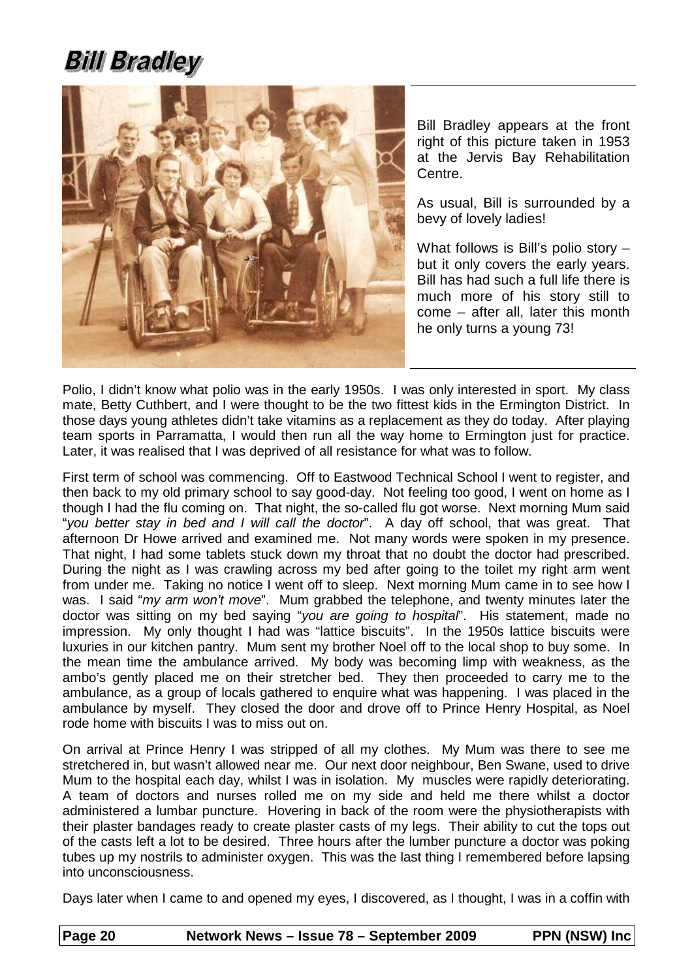## **Bill Bradley**



Bill Bradley appears at the front right of this picture taken in 1953 at the Jervis Bay Rehabilitation Centre.

As usual, Bill is surrounded by a bevy of lovely ladies!

What follows is Bill's polio story – but it only covers the early years. Bill has had such a full life there is much more of his story still to come – after all, later this month he only turns a young 73!

Polio, I didn't know what polio was in the early 1950s. I was only interested in sport. My class mate, Betty Cuthbert, and I were thought to be the two fittest kids in the Ermington District. In those days young athletes didn't take vitamins as a replacement as they do today. After playing team sports in Parramatta, I would then run all the way home to Ermington just for practice. Later, it was realised that I was deprived of all resistance for what was to follow.

First term of school was commencing. Off to Eastwood Technical School I went to register, and then back to my old primary school to say good-day. Not feeling too good, I went on home as I though I had the flu coming on. That night, the so-called flu got worse. Next morning Mum said "you better stay in bed and I will call the doctor". A day off school, that was great. That afternoon Dr Howe arrived and examined me. Not many words were spoken in my presence. That night, I had some tablets stuck down my throat that no doubt the doctor had prescribed. During the night as I was crawling across my bed after going to the toilet my right arm went from under me. Taking no notice I went off to sleep. Next morning Mum came in to see how I was. I said "my arm won't move". Mum grabbed the telephone, and twenty minutes later the doctor was sitting on my bed saying "you are going to hospital". His statement, made no impression. My only thought I had was "lattice biscuits". In the 1950s lattice biscuits were luxuries in our kitchen pantry. Mum sent my brother Noel off to the local shop to buy some. In the mean time the ambulance arrived. My body was becoming limp with weakness, as the ambo's gently placed me on their stretcher bed. They then proceeded to carry me to the ambulance, as a group of locals gathered to enquire what was happening. I was placed in the ambulance by myself. They closed the door and drove off to Prince Henry Hospital, as Noel rode home with biscuits I was to miss out on.

On arrival at Prince Henry I was stripped of all my clothes. My Mum was there to see me stretchered in, but wasn't allowed near me. Our next door neighbour, Ben Swane, used to drive Mum to the hospital each day, whilst I was in isolation. My muscles were rapidly deteriorating. A team of doctors and nurses rolled me on my side and held me there whilst a doctor administered a lumbar puncture. Hovering in back of the room were the physiotherapists with their plaster bandages ready to create plaster casts of my legs. Their ability to cut the tops out of the casts left a lot to be desired. Three hours after the lumber puncture a doctor was poking tubes up my nostrils to administer oxygen. This was the last thing I remembered before lapsing into unconsciousness.

Days later when I came to and opened my eyes, I discovered, as I thought, I was in a coffin with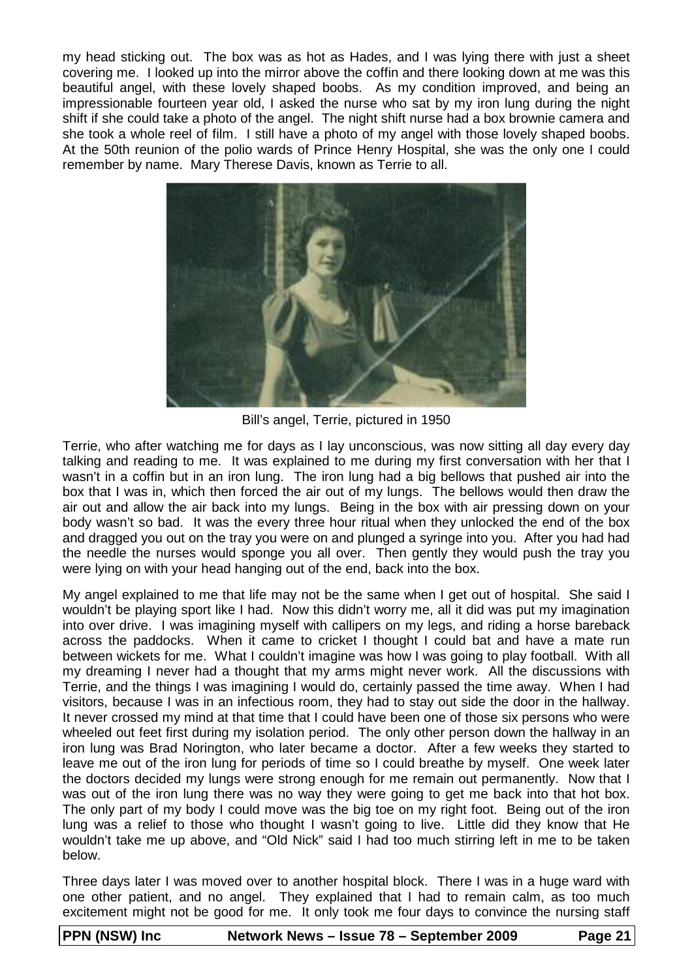my head sticking out. The box was as hot as Hades, and I was lying there with just a sheet covering me. I looked up into the mirror above the coffin and there looking down at me was this beautiful angel, with these lovely shaped boobs. As my condition improved, and being an impressionable fourteen year old, I asked the nurse who sat by my iron lung during the night shift if she could take a photo of the angel. The night shift nurse had a box brownie camera and she took a whole reel of film. I still have a photo of my angel with those lovely shaped boobs. At the 50th reunion of the polio wards of Prince Henry Hospital, she was the only one I could remember by name. Mary Therese Davis, known as Terrie to all.



Bill's angel, Terrie, pictured in 1950

Terrie, who after watching me for days as I lay unconscious, was now sitting all day every day talking and reading to me. It was explained to me during my first conversation with her that I wasn't in a coffin but in an iron lung. The iron lung had a big bellows that pushed air into the box that I was in, which then forced the air out of my lungs. The bellows would then draw the air out and allow the air back into my lungs. Being in the box with air pressing down on your body wasn't so bad. It was the every three hour ritual when they unlocked the end of the box and dragged you out on the tray you were on and plunged a syringe into you. After you had had the needle the nurses would sponge you all over. Then gently they would push the tray you were lying on with your head hanging out of the end, back into the box.

My angel explained to me that life may not be the same when I get out of hospital. She said I wouldn't be playing sport like I had. Now this didn't worry me, all it did was put my imagination into over drive. I was imagining myself with callipers on my legs, and riding a horse bareback across the paddocks. When it came to cricket I thought I could bat and have a mate run between wickets for me. What I couldn't imagine was how I was going to play football. With all my dreaming I never had a thought that my arms might never work. All the discussions with Terrie, and the things I was imagining I would do, certainly passed the time away. When I had visitors, because I was in an infectious room, they had to stay out side the door in the hallway. It never crossed my mind at that time that I could have been one of those six persons who were wheeled out feet first during my isolation period. The only other person down the hallway in an iron lung was Brad Norington, who later became a doctor. After a few weeks they started to leave me out of the iron lung for periods of time so I could breathe by myself. One week later the doctors decided my lungs were strong enough for me remain out permanently. Now that I was out of the iron lung there was no way they were going to get me back into that hot box. The only part of my body I could move was the big toe on my right foot. Being out of the iron lung was a relief to those who thought I wasn't going to live. Little did they know that He wouldn't take me up above, and "Old Nick" said I had too much stirring left in me to be taken below.

Three days later I was moved over to another hospital block. There I was in a huge ward with one other patient, and no angel. They explained that I had to remain calm, as too much excitement might not be good for me. It only took me four days to convince the nursing staff

| <b>PPN (NSW) Inc</b> | Network News - Issue 78 - September 2009 | Page 21 |
|----------------------|------------------------------------------|---------|
|                      |                                          |         |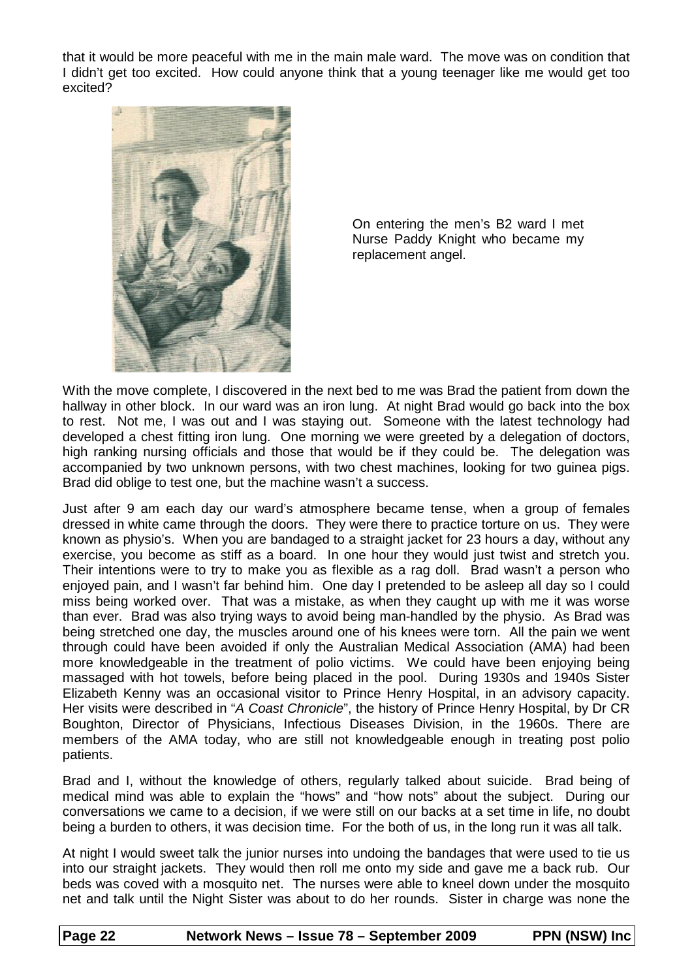that it would be more peaceful with me in the main male ward. The move was on condition that I didn't get too excited. How could anyone think that a young teenager like me would get too excited?



On entering the men's B2 ward I met Nurse Paddy Knight who became my replacement angel.

With the move complete, I discovered in the next bed to me was Brad the patient from down the hallway in other block. In our ward was an iron lung. At night Brad would go back into the box to rest. Not me, I was out and I was staying out. Someone with the latest technology had developed a chest fitting iron lung. One morning we were greeted by a delegation of doctors, high ranking nursing officials and those that would be if they could be. The delegation was accompanied by two unknown persons, with two chest machines, looking for two guinea pigs. Brad did oblige to test one, but the machine wasn't a success.

Just after 9 am each day our ward's atmosphere became tense, when a group of females dressed in white came through the doors. They were there to practice torture on us. They were known as physio's. When you are bandaged to a straight jacket for 23 hours a day, without any exercise, you become as stiff as a board. In one hour they would just twist and stretch you. Their intentions were to try to make you as flexible as a rag doll. Brad wasn't a person who enjoyed pain, and I wasn't far behind him. One day I pretended to be asleep all day so I could miss being worked over. That was a mistake, as when they caught up with me it was worse than ever. Brad was also trying ways to avoid being man-handled by the physio. As Brad was being stretched one day, the muscles around one of his knees were torn. All the pain we went through could have been avoided if only the Australian Medical Association (AMA) had been more knowledgeable in the treatment of polio victims. We could have been enjoying being massaged with hot towels, before being placed in the pool. During 1930s and 1940s Sister Elizabeth Kenny was an occasional visitor to Prince Henry Hospital, in an advisory capacity. Her visits were described in "A Coast Chronicle", the history of Prince Henry Hospital, by Dr CR Boughton, Director of Physicians, Infectious Diseases Division, in the 1960s. There are members of the AMA today, who are still not knowledgeable enough in treating post polio patients.

Brad and I, without the knowledge of others, regularly talked about suicide. Brad being of medical mind was able to explain the "hows" and "how nots" about the subject. During our conversations we came to a decision, if we were still on our backs at a set time in life, no doubt being a burden to others, it was decision time. For the both of us, in the long run it was all talk.

At night I would sweet talk the junior nurses into undoing the bandages that were used to tie us into our straight jackets. They would then roll me onto my side and gave me a back rub. Our beds was coved with a mosquito net. The nurses were able to kneel down under the mosquito net and talk until the Night Sister was about to do her rounds. Sister in charge was none the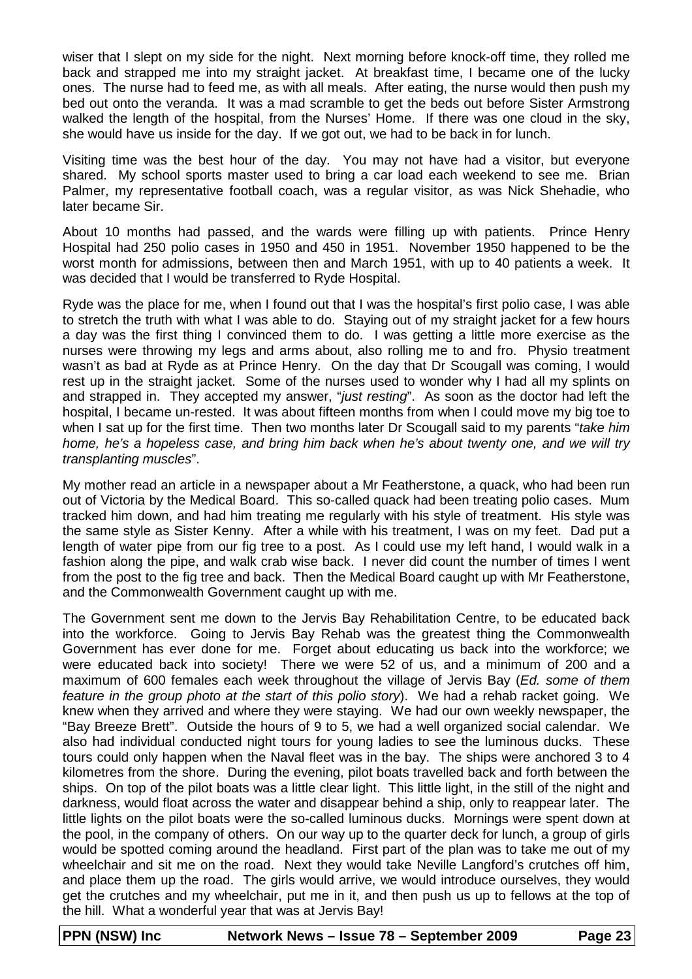wiser that I slept on my side for the night. Next morning before knock-off time, they rolled me back and strapped me into my straight jacket. At breakfast time, I became one of the lucky ones. The nurse had to feed me, as with all meals. After eating, the nurse would then push my bed out onto the veranda. It was a mad scramble to get the beds out before Sister Armstrong walked the length of the hospital, from the Nurses' Home. If there was one cloud in the sky, she would have us inside for the day. If we got out, we had to be back in for lunch.

Visiting time was the best hour of the day. You may not have had a visitor, but everyone shared. My school sports master used to bring a car load each weekend to see me. Brian Palmer, my representative football coach, was a regular visitor, as was Nick Shehadie, who later became Sir.

About 10 months had passed, and the wards were filling up with patients. Prince Henry Hospital had 250 polio cases in 1950 and 450 in 1951. November 1950 happened to be the worst month for admissions, between then and March 1951, with up to 40 patients a week. It was decided that I would be transferred to Ryde Hospital.

Ryde was the place for me, when I found out that I was the hospital's first polio case, I was able to stretch the truth with what I was able to do. Staying out of my straight jacket for a few hours a day was the first thing I convinced them to do. I was getting a little more exercise as the nurses were throwing my legs and arms about, also rolling me to and fro. Physio treatment wasn't as bad at Ryde as at Prince Henry. On the day that Dr Scougall was coming, I would rest up in the straight jacket. Some of the nurses used to wonder why I had all my splints on and strapped in. They accepted my answer, "just resting". As soon as the doctor had left the hospital, I became un-rested. It was about fifteen months from when I could move my big toe to when I sat up for the first time. Then two months later Dr Scougall said to my parents "take him home, he's a hopeless case, and bring him back when he's about twenty one, and we will try transplanting muscles".

My mother read an article in a newspaper about a Mr Featherstone, a quack, who had been run out of Victoria by the Medical Board. This so-called quack had been treating polio cases. Mum tracked him down, and had him treating me regularly with his style of treatment. His style was the same style as Sister Kenny. After a while with his treatment, I was on my feet. Dad put a length of water pipe from our fig tree to a post. As I could use my left hand, I would walk in a fashion along the pipe, and walk crab wise back. I never did count the number of times I went from the post to the fig tree and back. Then the Medical Board caught up with Mr Featherstone, and the Commonwealth Government caught up with me.

The Government sent me down to the Jervis Bay Rehabilitation Centre, to be educated back into the workforce. Going to Jervis Bay Rehab was the greatest thing the Commonwealth Government has ever done for me. Forget about educating us back into the workforce; we were educated back into society! There we were 52 of us, and a minimum of 200 and a maximum of 600 females each week throughout the village of Jervis Bay (Ed. some of them feature in the group photo at the start of this polio story). We had a rehab racket going. We knew when they arrived and where they were staying. We had our own weekly newspaper, the "Bay Breeze Brett". Outside the hours of 9 to 5, we had a well organized social calendar. We also had individual conducted night tours for young ladies to see the luminous ducks. These tours could only happen when the Naval fleet was in the bay. The ships were anchored 3 to 4 kilometres from the shore. During the evening, pilot boats travelled back and forth between the ships. On top of the pilot boats was a little clear light. This little light, in the still of the night and darkness, would float across the water and disappear behind a ship, only to reappear later. The little lights on the pilot boats were the so-called luminous ducks. Mornings were spent down at the pool, in the company of others. On our way up to the quarter deck for lunch, a group of girls would be spotted coming around the headland. First part of the plan was to take me out of my wheelchair and sit me on the road. Next they would take Neville Langford's crutches off him, and place them up the road. The girls would arrive, we would introduce ourselves, they would get the crutches and my wheelchair, put me in it, and then push us up to fellows at the top of the hill. What a wonderful year that was at Jervis Bay!

**PPN (NSW) Inc Network News – Issue 78 – September 2009 Page 23**